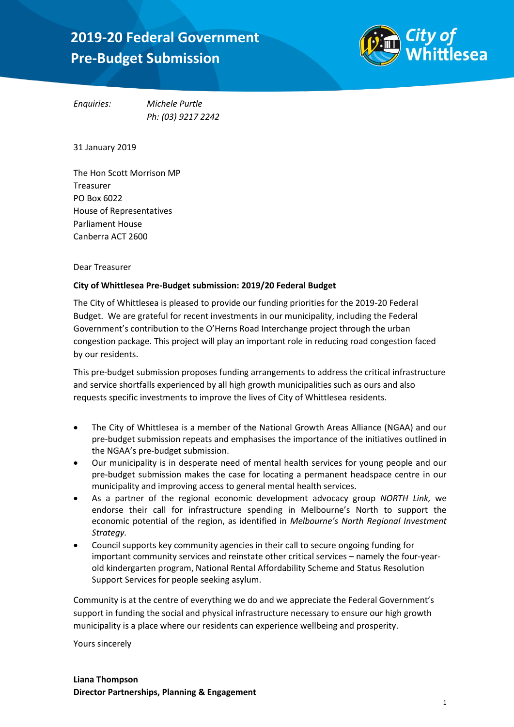# 2019-20 Federal Government Pre-Budget Submission: *Ten*  **2019-20 Federal Government** *Pre-Budget Submission*



*Enquiries: Michele Purtle Ph: (03) 9217 2242*

31 January 2019

The Hon Scott Morrison MP Treasurer PO Box 6022 House of Representatives Parliament House Canberra ACT 2600

#### Dear Treasurer

#### **City of Whittlesea Pre-Budget submission: 2019/20 Federal Budget**

The City of Whittlesea is pleased to provide our funding priorities for the 2019-20 Federal Budget. We are grateful for recent investments in our municipality, including the Federal Government's contribution to the O'Herns Road Interchange project through the urban congestion package. This project will play an important role in reducing road congestion faced by our residents.

This pre-budget submission proposes funding arrangements to address the critical infrastructure and service shortfalls experienced by all high growth municipalities such as ours and also requests specific investments to improve the lives of City of Whittlesea residents.

- The City of Whittlesea is a member of the National Growth Areas Alliance (NGAA) and our pre-budget submission repeats and emphasises the importance of the initiatives outlined in the NGAA's pre-budget submission.
- Our municipality is in desperate need of mental health services for young people and our pre-budget submission makes the case for locating a permanent headspace centre in our municipality and improving access to general mental health services.
- As a partner of the regional economic development advocacy group *NORTH Link,* we endorse their call for infrastructure spending in Melbourne's North to support the economic potential of the region, as identified in *Melbourne's North Regional Investment Strategy.*
- Council supports key community agencies in their call to secure ongoing funding for important community services and reinstate other critical services – namely the four-yearold kindergarten program, National Rental Affordability Scheme and Status Resolution Support Services for people seeking asylum.

Community is at the centre of everything we do and we appreciate the Federal Government's support in funding the social and physical infrastructure necessary to ensure our high growth municipality is a place where our residents can experience wellbeing and prosperity.

Yours sincerely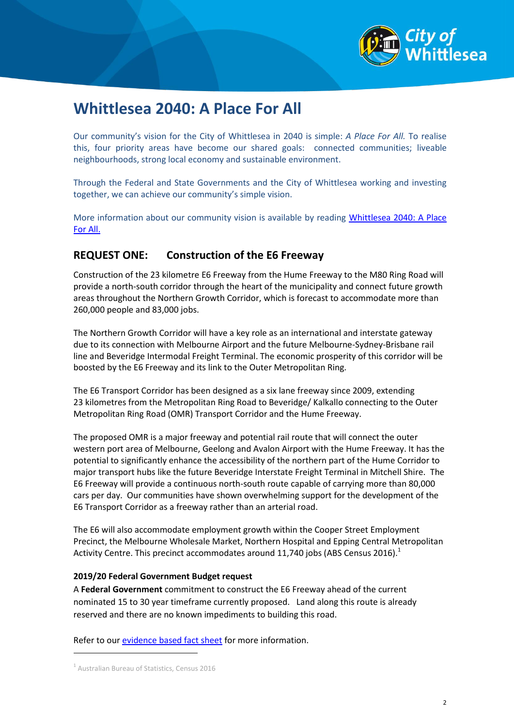

## **Whittlesea 2040: A Place For All**

Our community's vision for the City of Whittlesea in 2040 is simple: *A Place For All.* To realise this, four priority areas have become our shared goals: connected communities; liveable neighbourhoods, strong local economy and sustainable environment.

Through the Federal and State Governments and the City of Whittlesea working and investing together, we can achieve our community's simple vision.

More information about our community vision is available by reading Whittlesea 2040: A Place [For All.](https://www.whittlesea.vic.gov.au/media/3753/whittlesea-2040-a-place-for-all.pdf)

## **REQUEST ONE: Construction of the E6 Freeway**

Construction of the 23 kilometre E6 Freeway from the Hume Freeway to the M80 Ring Road will provide a north-south corridor through the heart of the municipality and connect future growth areas throughout the Northern Growth Corridor, which is forecast to accommodate more than 260,000 people and 83,000 jobs.

The Northern Growth Corridor will have a key role as an international and interstate gateway due to its connection with Melbourne Airport and the future Melbourne-Sydney-Brisbane rail line and Beveridge Intermodal Freight Terminal. The economic prosperity of this corridor will be boosted by the E6 Freeway and its link to the Outer Metropolitan Ring.

The E6 Transport Corridor has been designed as a six lane freeway since 2009, extending 23 kilometres from the Metropolitan Ring Road to Beveridge/ Kalkallo connecting to the Outer Metropolitan Ring Road (OMR) Transport Corridor and the Hume Freeway.

The proposed OMR is a major freeway and potential rail route that will connect the outer western port area of Melbourne, Geelong and Avalon Airport with the Hume Freeway. It has the potential to significantly enhance the accessibility of the northern part of the Hume Corridor to major transport hubs like the future Beveridge Interstate Freight Terminal in Mitchell Shire. The E6 Freeway will provide a continuous north-south route capable of carrying more than 80,000 cars per day. Our communities have shown overwhelming support for the development of the E6 Transport Corridor as a freeway rather than an arterial road.

The E6 will also accommodate employment growth within the Cooper Street Employment Precinct, the Melbourne Wholesale Market, Northern Hospital and Epping Central Metropolitan Activity Centre. This precinct accommodates around 11,740 jobs (ABS Census 2016).<sup>1</sup>

#### **2019/20 Federal Government Budget request**

A **Federal Government** commitment to construct the E6 Freeway ahead of the current nominated 15 to 30 year timeframe currently proposed. Land along this route is already reserved and there are no known impediments to building this road.

Refer to our [evidence based fact sheet](https://www.whittlesea.vic.gov.au/media/3952/roads-fact-sheet_e6-freeway_f.pdf) for more information.

<u>.</u>

<sup>1</sup> Australian Bureau of Statistics, Census 2016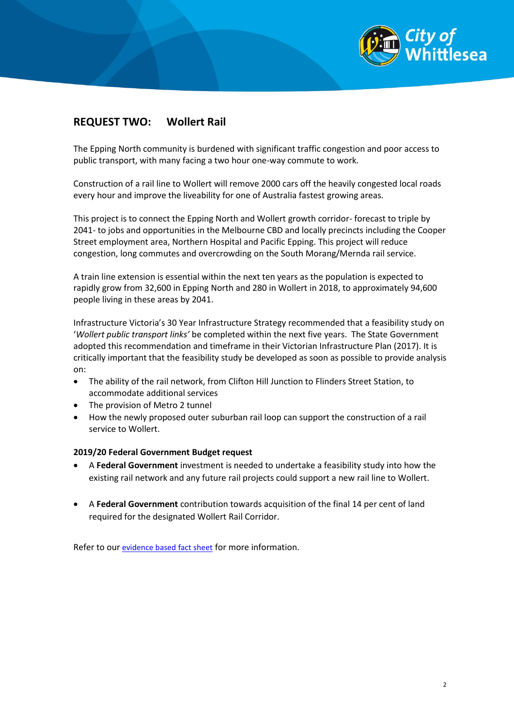

## **REQUEST TWO: Wollert Rail**

The Epping North community is burdened with significant traffic congestion and poor access to public transport, with many facing a two hour one-way commute to work.

Construction of a rail line to Wollert will remove 2000 cars off the heavily congested local roads every hour and improve the liveability for one of Australia fastest growing areas.

This project is to connect the Epping North and Wollert growth corridor- forecast to triple by 2041- to jobs and opportunities in the Melbourne CBD and locally precincts including the Cooper Street employment area, Northern Hospital and Pacific Epping. This project will reduce congestion, long commutes and overcrowding on the South Morang/Mernda rail service.

A train line extension is essential within the next ten years as the population is expected to rapidly grow from 32,600 in Epping North and 280 in Wollert in 2018, to approximately 94,600 people living in these areas by 2041.

Infrastructure Victoria's 30 Year Infrastructure Strategy recommended that a feasibility study on '*Wollert public transport links'* be completed within the next five years. The State Government adopted this recommendation and timeframe in their Victorian Infrastructure Plan (2017). It is critically important that the feasibility study be developed as soon as possible to provide analysis on:

- The ability of the rail network, from Clifton Hill Junction to Flinders Street Station, to accommodate additional services
- The provision of Metro 2 tunnel
- How the newly proposed outer suburban rail loop can support the construction of a rail service to Wollert.

#### **2019/20 Federal Government Budget request**

- A **Federal Government** investment is needed to undertake a feasibility study into how the existing rail network and any future rail projects could support a new rail line to Wollert.
- A **Federal Government** contribution towards acquisition of the final 14 per cent of land required for the designated Wollert Rail Corridor.

Refer to our [evidence based fact sheet](file://whittlesea/data/PARTNERSHIPS/COMMUNICATIONS/_PUBLIC/TEMP/Advocacy/State%20Election%20Factsheets/PUBLIC%20TRANSPORT%20Fact%20sheet_Wollert%20Train%20line_F.pdf) for more information.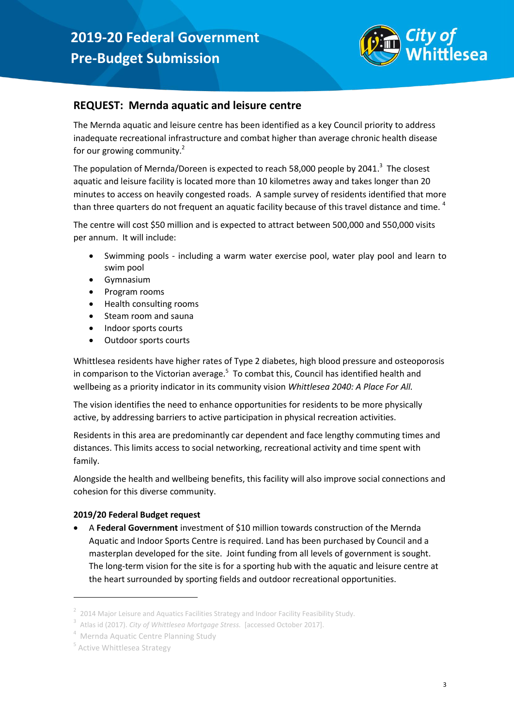

### **REQUEST: Mernda aquatic and leisure centre**

The Mernda aquatic and leisure centre has been identified as a key Council priority to address inadequate recreational infrastructure and combat higher than average chronic health disease for our growing community.<sup>2</sup>

The population of Mernda/Doreen is expected to reach 58,000 people by 2041. $^3$  The closest aquatic and leisure facility is located more than 10 kilometres away and takes longer than 20 minutes to access on heavily congested roads. A sample survey of residents identified that more than three quarters do not frequent an aquatic facility because of this travel distance and time.<sup>4</sup>

The centre will cost \$50 million and is expected to attract between 500,000 and 550,000 visits per annum. It will include:

- Swimming pools including a warm water exercise pool, water play pool and learn to swim pool
- Gymnasium
- Program rooms
- Health consulting rooms
- Steam room and sauna
- Indoor sports courts
- Outdoor sports courts

Whittlesea residents have higher rates of Type 2 diabetes, high blood pressure and osteoporosis in comparison to the Victorian average.<sup>5</sup> To combat this, Council has identified health and wellbeing as a priority indicator in its community vision *Whittlesea 2040: A Place For All.*

The vision identifies the need to enhance opportunities for residents to be more physically active, by addressing barriers to active participation in physical recreation activities.

Residents in this area are predominantly car dependent and face lengthy commuting times and distances. This limits access to social networking, recreational activity and time spent with family.

Alongside the health and wellbeing benefits, this facility will also improve social connections and cohesion for this diverse community.

#### **2019/20 Federal Budget request**

 A **Federal Government** investment of \$10 million towards construction of the Mernda Aquatic and Indoor Sports Centre is required. Land has been purchased by Council and a masterplan developed for the site. Joint funding from all levels of government is sought. The long-term vision for the site is for a sporting hub with the aquatic and leisure centre at the heart surrounded by sporting fields and outdoor recreational opportunities.

<u>.</u>

<sup>2</sup> 2014 Major Leisure and Aquatics Facilities Strategy and Indoor Facility Feasibility Study.

<sup>3</sup> Atlas id (2017). *City of Whittlesea Mortgage Stress.* [accessed October 2017].

<sup>4</sup> Mernda Aquatic Centre Planning Study

<sup>5</sup> Active Whittlesea Strategy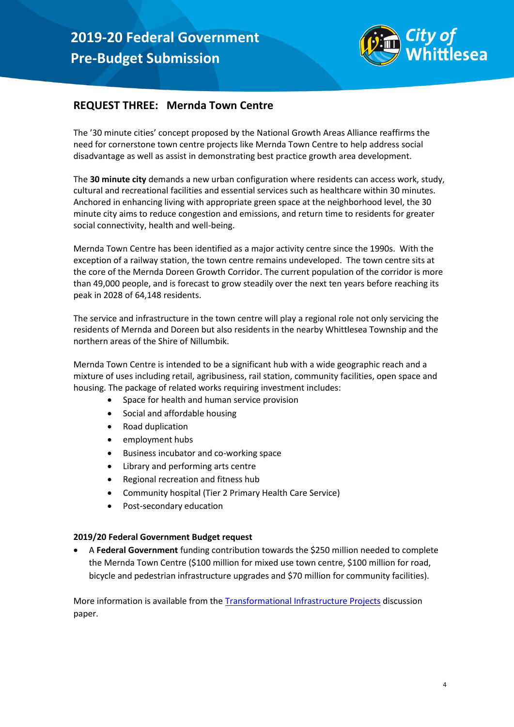

## **REQUEST THREE: Mernda Town Centre**

The '30 minute cities' concept proposed by the National Growth Areas Alliance reaffirms the need for cornerstone town centre projects like Mernda Town Centre to help address social disadvantage as well as assist in demonstrating best practice growth area development.

The **30 minute city** demands a new urban configuration where residents can access work, study, cultural and recreational facilities and essential services such as healthcare within 30 minutes. Anchored in enhancing living with appropriate green space at the neighborhood level, the 30 minute city aims to reduce congestion and emissions, and return time to residents for greater social connectivity, health and well-being.

Mernda Town Centre has been identified as a major activity centre since the 1990s. With the exception of a railway station, the town centre remains undeveloped. The town centre sits at the core of the Mernda Doreen Growth Corridor. The current population of the corridor is more than 49,000 people, and is forecast to grow steadily over the next ten years before reaching its peak in 2028 of 64,148 residents.

The service and infrastructure in the town centre will play a regional role not only servicing the residents of Mernda and Doreen but also residents in the nearby Whittlesea Township and the northern areas of the Shire of Nillumbik.

Mernda Town Centre is intended to be a significant hub with a wide geographic reach and a mixture of uses including retail, agribusiness, rail station, community facilities, open space and housing. The package of related works requiring investment includes:

- Space for health and human service provision
- Social and affordable housing
- Road duplication
- employment hubs
- Business incubator and co-working space
- Library and performing arts centre
- Regional recreation and fitness hub
- Community hospital (Tier 2 Primary Health Care Service)
- Post-secondary education

#### **2019/20 Federal Government Budget request**

 A **Federal Government** funding contribution towards the \$250 million needed to complete the Mernda Town Centre (\$100 million for mixed use town centre, \$100 million for road, bicycle and pedestrian infrastructure upgrades and \$70 million for community facilities).

More information is available from the [Transformational Infrastructure Projects](https://ngaa.org.au/application/third_party/ckfinder/userfiles/files/PRINT_Transformational%20Infrastructure%20Projects.pdf) discussion paper.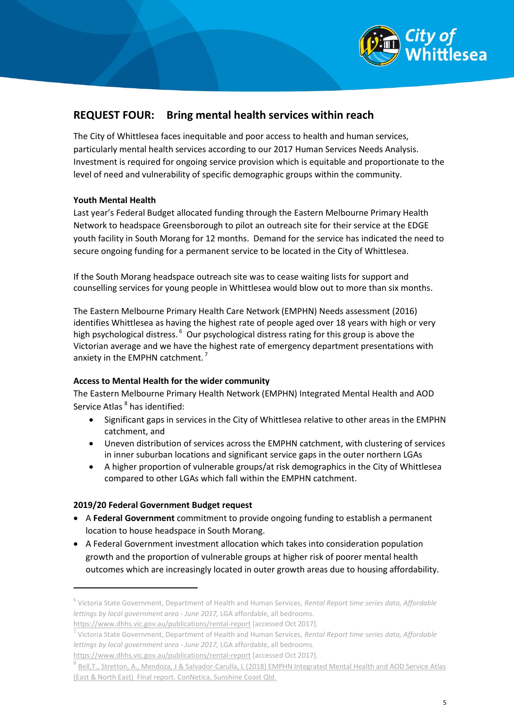

## **REQUEST FOUR: Bring mental health services within reach**

The City of Whittlesea faces inequitable and poor access to health and human services, particularly mental health services according to our 2017 Human Services Needs Analysis. Investment is required for ongoing service provision which is equitable and proportionate to the level of need and vulnerability of specific demographic groups within the community.

#### **Youth Mental Health**

Last year's Federal Budget allocated funding through the Eastern Melbourne Primary Health Network to headspace Greensborough to pilot an outreach site for their service at the EDGE youth facility in South Morang for 12 months. Demand for the service has indicated the need to secure ongoing funding for a permanent service to be located in the City of Whittlesea.

If the South Morang headspace outreach site was to cease waiting lists for support and counselling services for young people in Whittlesea would blow out to more than six months.

The Eastern Melbourne Primary Health Care Network (EMPHN) Needs assessment (2016) identifies Whittlesea as having the highest rate of people aged over 18 years with high or very high psychological distress.<sup>6</sup> Our psychological distress rating for this group is above the Victorian average and we have the highest rate of emergency department presentations with anxiety in the EMPHN catchment.<sup>7</sup>

#### **Access to Mental Health for the wider community**

The Eastern Melbourne Primary Health Network (EMPHN) Integrated Mental Health and AOD Service Atlas <sup>8</sup> has identified:

- Significant gaps in services in the City of Whittlesea relative to other areas in the EMPHN catchment, and
- Uneven distribution of services across the EMPHN catchment, with clustering of services in inner suburban locations and significant service gaps in the outer northern LGAs
- A higher proportion of vulnerable groups/at risk demographics in the City of Whittlesea compared to other LGAs which fall within the EMPHN catchment.

#### **2019/20 Federal Government Budget request**

<u>.</u>

- A **Federal Government** commitment to provide ongoing funding to establish a permanent location to house headspace in South Morang.
- A Federal Government investment allocation which takes into consideration population growth and the proportion of vulnerable groups at higher risk of poorer mental health outcomes which are increasingly located in outer growth areas due to housing affordability.

<sup>6</sup> Victoria State Government, Department of Health and Human Services, *Rental Report time series data, Affordable lettings by local government area - June 2017,* LGA affordable, all bedrooms.

<https://www.dhhs.vic.gov.au/publications/rental-report> [accessed Oct 2017].

<sup>7</sup> Victoria State Government, Department of Health and Human Services, *Rental Report time series data, Affordable lettings by local government area - June 2017,* LGA affordable, all bedrooms.

<https://www.dhhs.vic.gov.au/publications/rental-report> [accessed Oct 2017].

<sup>8</sup> [Bell,T., Stretton, A., Mendoza, J & Salvador-Carulla, L \(2018\) EMPHN Integrated Mental Health and AOD Service Atlas](https://www.emphn.org.au/images/uploads/files/20180516-Final-Atlas-Report-EMPHN_July-2018-1.pdf)  (East & [North East\) Final report. ConNetica, Sunshine Coast Qld.](https://www.emphn.org.au/images/uploads/files/20180516-Final-Atlas-Report-EMPHN_July-2018-1.pdf)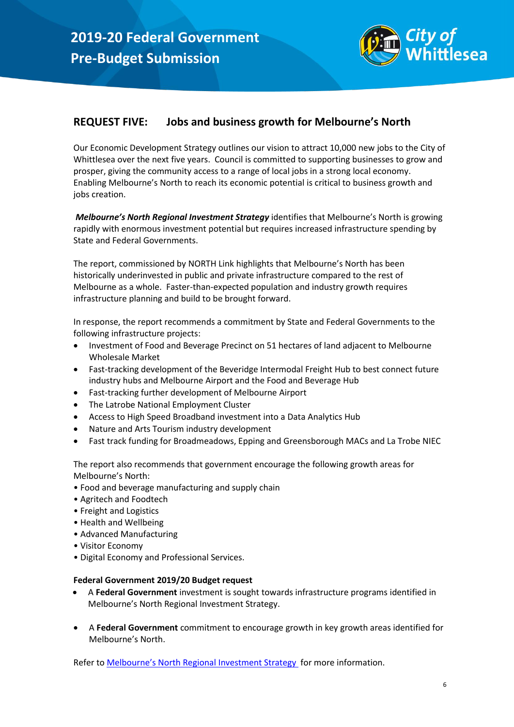

## **REQUEST FIVE: Jobs and business growth for Melbourne's North**

Our Economic Development Strategy outlines our vision to attract 10,000 new jobs to the City of Whittlesea over the next five years. Council is committed to supporting businesses to grow and prosper, giving the community access to a range of local jobs in a strong local economy. Enabling Melbourne's North to reach its economic potential is critical to business growth and jobs creation.

*Melbourne's North Regional Investment Strategy* identifies that Melbourne's North is growing rapidly with enormous investment potential but requires increased infrastructure spending by State and Federal Governments.

The report, commissioned by NORTH Link highlights that Melbourne's North has been historically underinvested in public and private infrastructure compared to the rest of Melbourne as a whole. Faster-than-expected population and industry growth requires infrastructure planning and build to be brought forward.

In response, the report recommends a commitment by State and Federal Governments to the following infrastructure projects:

- Investment of Food and Beverage Precinct on 51 hectares of land adjacent to Melbourne Wholesale Market
- Fast-tracking development of the Beveridge Intermodal Freight Hub to best connect future industry hubs and Melbourne Airport and the Food and Beverage Hub
- Fast-tracking further development of Melbourne Airport
- The Latrobe National Employment Cluster
- Access to High Speed Broadband investment into a Data Analytics Hub
- Nature and Arts Tourism industry development
- Fast track funding for Broadmeadows, Epping and Greensborough MACs and La Trobe NIEC

The report also recommends that government encourage the following growth areas for Melbourne's North:

- Food and beverage manufacturing and supply chain
- Agritech and Foodtech
- Freight and Logistics
- Health and Wellbeing
- Advanced Manufacturing
- Visitor Economy
- Digital Economy and Professional Services.

#### **Federal Government 2019/20 Budget request**

- A **Federal Government** investment is sought towards infrastructure programs identified in Melbourne's North Regional Investment Strategy.
- A **Federal Government** commitment to encourage growth in key growth areas identified for Melbourne's North.

Refer to [Melbourne's North Regional Investment Strategy](http://melbournesnorth.com.au/wp-content/uploads/2018/10/Investment-Attraction-Strategy.pdf) for more information.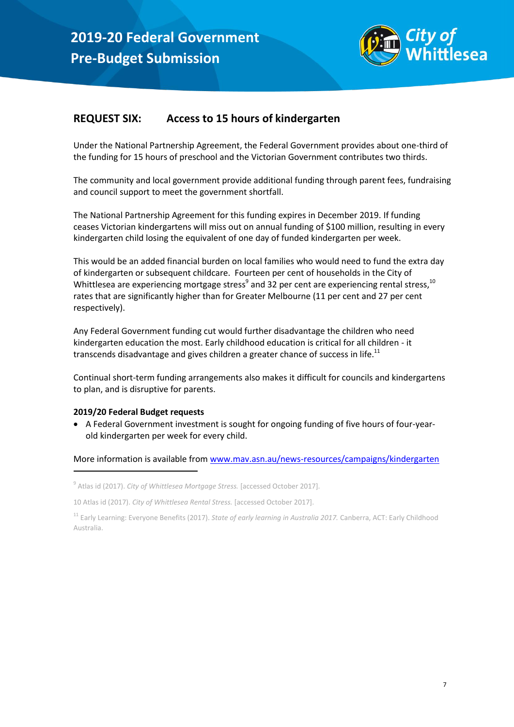

## **REQUEST SIX: Access to 15 hours of kindergarten**

Under the National Partnership Agreement, the Federal Government provides about one-third of the funding for 15 hours of preschool and the Victorian Government contributes two thirds.

The community and local government provide additional funding through parent fees, fundraising and council support to meet the government shortfall.

The National Partnership Agreement for this funding expires in December 2019. If funding ceases Victorian kindergartens will miss out on annual funding of \$100 million, resulting in every kindergarten child losing the equivalent of one day of funded kindergarten per week.

This would be an added financial burden on local families who would need to fund the extra day of kindergarten or subsequent childcare. Fourteen per cent of households in the City of Whittlesea are experiencing mortgage stress<sup>9</sup> and 32 per cent are experiencing rental stress,  $^{10}$ rates that are significantly higher than for Greater Melbourne (11 per cent and 27 per cent respectively).

Any Federal Government funding cut would further disadvantage the children who need kindergarten education the most. Early childhood education is critical for all children - it transcends disadvantage and gives children a greater chance of success in life. $^{11}$ 

Continual short-term funding arrangements also makes it difficult for councils and kindergartens to plan, and is disruptive for parents.

#### **2019/20 Federal Budget requests**

1

 A Federal Government investment is sought for ongoing funding of five hours of four-yearold kindergarten per week for every child.

More information is available from [www.mav.asn.au/news-resources/campaigns/kindergarten](http://www.mav.asn.au/news-resources/campaigns/kindergarten)

<sup>&</sup>lt;sup>9</sup> Atlas id (2017). *City of Whittlesea Mortgage Stress*. [accessed October 2017].

<sup>10</sup> Atlas id (2017). *City of Whittlesea Rental Stress.* [accessed October 2017].

<sup>11</sup> Early Learning: Everyone Benefits (2017). *State of early learning in Australia 2017.* Canberra, ACT: Early Childhood Australia.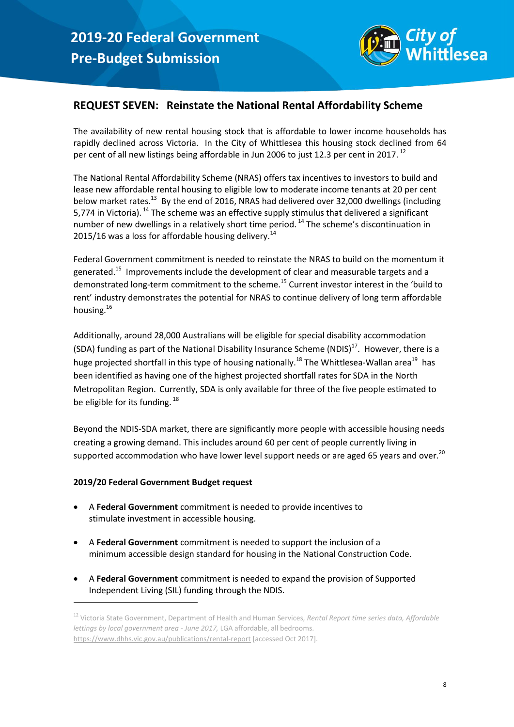

## **REQUEST SEVEN: Reinstate the National Rental Affordability Scheme**

The availability of new rental housing stock that is affordable to lower income households has rapidly declined across Victoria. In the City of Whittlesea this housing stock declined from 64 per cent of all new listings being affordable in Jun 2006 to just 12.3 per cent in 2017.<sup>12</sup>

<span id="page-8-0"></span>The National Rental Affordability Scheme (NRAS) offers tax incentives to investors to build and lease new affordable rental housing to eligible low to moderate income tenants at 20 per cent below market rates.<sup>13</sup> By the end of 2016, NRAS had delivered over 32,000 dwellings (including 5,774 in Victoria).<sup>14</sup> The scheme was an effective supply stimulus that delivered a significant number of new dwellings in a relatively short time period.  $14$  The scheme's discontinuation in 2015/16 was a loss for affordable housing delivery.<sup>[14](#page-8-0)</sup>

<span id="page-8-1"></span>Federal Government commitment is needed to reinstate the NRAS to build on the momentum it generated.<sup>15</sup> Improvements include the development of clear and measurable targets and a demonstrated long-term commitment to the scheme.<sup>[15](#page-8-1)</sup> Current investor interest in the 'build to rent' industry demonstrates the potential for NRAS to continue delivery of long term affordable housing.<sup>16</sup>

<span id="page-8-2"></span>Additionally, around 28,000 Australians will be eligible for special disability accommodation (SDA) funding as part of the National Disability Insurance Scheme (NDIS)<sup>17</sup>. However, there is a huge projected shortfall in this type of housing nationally.<sup>18</sup> The Whittlesea-Wallan area<sup>19</sup> has been identified as having one of the highest projected shortfall rates for SDA in the North Metropolitan Region. Currently, SDA is only available for three of the five people estimated to be eligible for its funding. <sup>[18](#page-8-2)</sup>

Beyond the NDIS-SDA market, there are significantly more people with accessible housing needs creating a growing demand. This includes around 60 per cent of people currently living in supported accommodation who have lower level support needs or are aged 65 years and over.<sup>20</sup>

#### **2019/20 Federal Government Budget request**

1

- A **Federal Government** commitment is needed to provide incentives to stimulate investment in accessible housing.
- A **Federal Government** commitment is needed to support the inclusion of a minimum accessible design standard for housing in the National Construction Code.
- A **Federal Government** commitment is needed to expand the provision of Supported Independent Living (SIL) funding through the NDIS.

<sup>12</sup> Victoria State Government, Department of Health and Human Services, *Rental Report time series data, Affordable lettings by local government area - June 2017,* LGA affordable, all bedrooms. <https://www.dhhs.vic.gov.au/publications/rental-report> [accessed Oct 2017].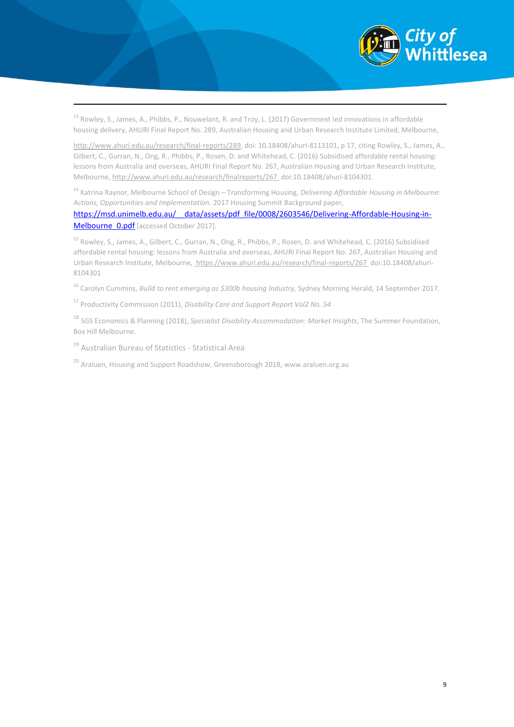

<sup>13</sup> Rowley, S., James, A., Phibbs, P., Nouwelant, R. and Troy, L. (2017) Government led innovations in affordable housing delivery, AHURI Final Report No. 289, Australian Housing and Urban Research Institute Limited, Melbourne,

[http://www.ahuri.edu.au/research/final-reports/289,](http://www.ahuri.edu.au/research/final-reports/289) doi: 10.18408/ahuri-8113101, p 17, citing Rowley, S., James, A., Gilbert, C., Gurran, N., Ong, R., Phibbs, P., Rosen, D. and Whitehead, C. (2016) Subsidised affordable rental housing: lessons from Australia and overseas, AHURI Final Report No. 267, Australian Housing and Urban Research Institute, Melbourne[, http://www.ahuri.edu.au/research/finalreports/267](http://www.ahuri.edu.au/research/finalreports/267) doi:10.18408/ahuri-8104301.

<sup>14</sup> Katrina Raynor, Melbourne School of Design – Transforming Housing, *Delivering Affordable Housing in Melbourne: Actions, Opportunities and Implementation.* 2017 Housing Summit Background paper,

[https://msd.unimelb.edu.au/\\_\\_data/assets/pdf\\_file/0008/2603546/Delivering-Affordable-Housing-in-](https://msd.unimelb.edu.au/__data/assets/pdf_file/0008/2603546/Delivering-Affordable-Housing-in-Melbourne_0.pdf)Melbourne O.pdf [accessed October 2017].

<sup>15</sup> Rowley, S., James, A., Gilbert, C., Gurran, N., Ong, R., Phibbs, P., Rosen, D. and Whitehead, C. (2016) Subsidised affordable rental housing: lessons from Australia and overseas, AHURI Final Report No. 267, Australian Housing and Urban Research Institute, Melbourne[, https://www.ahuri.edu.au/research/final-reports/267](https://www.ahuri.edu.au/research/final-reports/267) doi:10.18408/ahuri-8104301

<sup>16</sup> Carolyn Cummins, *Build to rent emerging as \$300b housing Industry*, Sydney Morning Herald, 14 September 2017.

<sup>17</sup> Productivity Commission (2011), *Disability Care and Support Report Vol2 No. 54*

<sup>18</sup> SGS Economics & Planning (2018), *Specialist Disability Accommodation: Market Insights*, The Summer Foundation, Box Hill Melbourne.

<sup>19</sup> Australian Bureau of Statistics - Statistical Area

1

<sup>20</sup> Araluen, Housing and Support Roadshow, Greensborough 2018, www.araluen.org.au